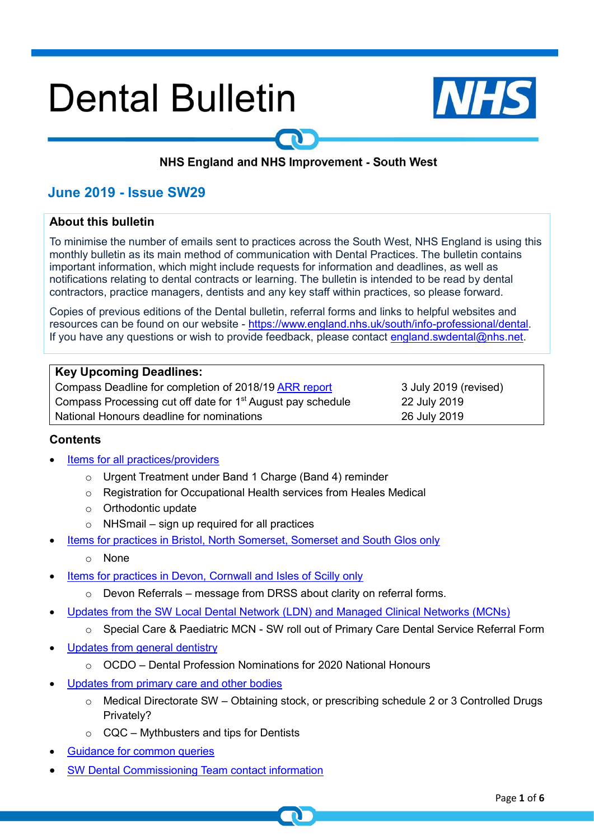# **Dental Bulletin**



## NHS England and NHS Improvement - South West

## **June 2019 - Issue SW29**

#### **About this bulletin**

To minimise the number of emails sent to practices across the South West, NHS England is using this monthly bulletin as its main method of communication with Dental Practices. The bulletin contains important information, which might include requests for information and deadlines, as well as notifications relating to dental contracts or learning. The bulletin is intended to be read by dental contractors, practice managers, dentists and any key staff within practices, so please forward.

Copies of previous editions of the Dental bulletin, referral forms and links to helpful websites and resources can be found on our website - [https://www.england.nhs.uk/south/info-professional/dental.](https://www.england.nhs.uk/south/info-professional/dental/dcis/forms/) If you have any questions or wish to provide feedback, please contact [england.swdental@nhs.net.](mailto:england.swdental@nhs.net)

| <b>Key Upcoming Deadlines:</b>                                          |                       |
|-------------------------------------------------------------------------|-----------------------|
| Compass Deadline for completion of 2018/19 ARR report                   | 3 July 2019 (revised) |
| Compass Processing cut off date for 1 <sup>st</sup> August pay schedule | 22 July 2019          |
| National Honours deadline for nominations                               | 26 July 2019          |

#### <span id="page-0-0"></span>**Contents**

- [Items for all practices/providers](#page-1-0)
	- o Urgent Treatment under Band 1 Charge (Band 4) reminder
	- o Registration for Occupational Health services from Heales Medical
	- o Orthodontic update
	- $\circ$  NHSmail sign up required for all practices
- [Items for practices in Bristol, North Somerset, Somerset and South Glos only](#page-2-0)
	- o None
- [Items for practices in Devon, Cornwall and Isles of Scilly only](#page-2-1)
	- o Devon Referrals message from DRSS about clarity on referral forms.
- [Updates from the SW Local Dental Network \(LDN\) and Managed Clinical Networks \(MCNs\)](#page-3-0)
	- o Special Care & Paediatric MCN SW roll out of Primary Care Dental Service Referral Form
- [Updates from general dentistry](#page-3-1)
	- o OCDO Dental Profession Nominations for 2020 National Honours
- [Updates from primary care and other bodies](#page-4-0)
	- o Medical Directorate SW Obtaining stock, or prescribing schedule 2 or 3 Controlled Drugs Privately?
	- $\circ$  CQC Mythbusters and tips for Dentists
- Guidance for [common queries](#page-5-0)
- [SW Dental Commissioning Team contact information](#page-5-1)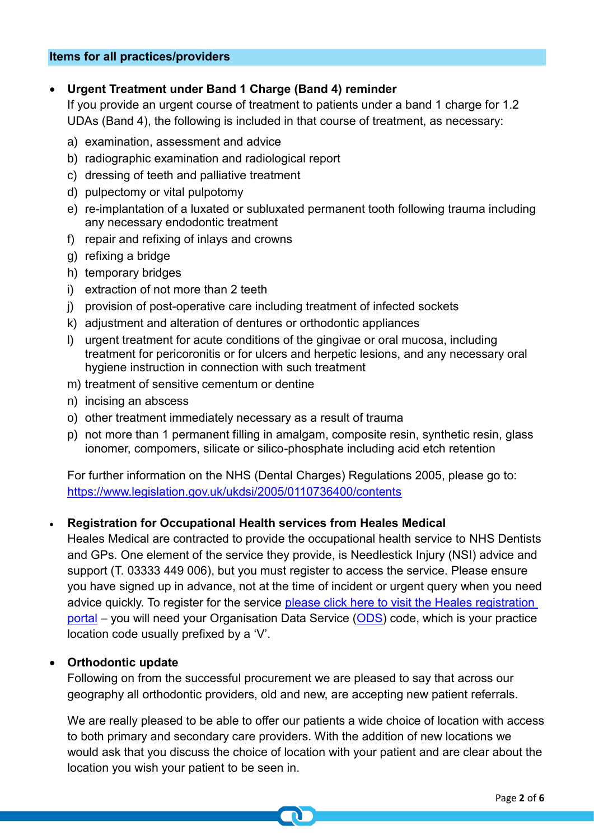## <span id="page-1-0"></span>• **Urgent Treatment under Band 1 Charge (Band 4) reminder**

If you provide an urgent course of treatment to patients under a band 1 charge for 1.2 UDAs (Band 4), the following is included in that course of treatment, as necessary:

- a) examination, assessment and advice
- b) radiographic examination and radiological report
- c) dressing of teeth and palliative treatment
- d) pulpectomy or vital pulpotomy
- e) re-implantation of a luxated or subluxated permanent tooth following trauma including any necessary endodontic treatment
- f) repair and refixing of inlays and crowns
- g) refixing a bridge
- h) temporary bridges
- i) extraction of not more than 2 teeth
- i) provision of post-operative care including treatment of infected sockets
- k) adjustment and alteration of dentures or orthodontic appliances
- l) urgent treatment for acute conditions of the gingivae or oral mucosa, including treatment for pericoronitis or for ulcers and herpetic lesions, and any necessary oral hygiene instruction in connection with such treatment
- m) treatment of sensitive cementum or dentine
- n) incising an abscess
- o) other treatment immediately necessary as a result of trauma
- p) not more than 1 permanent filling in amalgam, composite resin, synthetic resin, glass ionomer, compomers, silicate or silico-phosphate including acid etch retention

For further information on the NHS (Dental Charges) Regulations 2005, please go to: <https://www.legislation.gov.uk/ukdsi/2005/0110736400/contents>

## • **Registration for Occupational Health services from Heales Medical**

Heales Medical are contracted to provide the occupational health service to NHS Dentists and GPs. One element of the service they provide, is Needlestick Injury (NSI) advice and support (T. 03333 449 006), but you must register to access the service. Please ensure you have signed up in advance, not at the time of incident or urgent query when you need advice quickly. To register for the service please click here to visit the Heales registration [portal](https://www.heales.com/msys/ereg?action2=reg&clientKey=7QmPi1css25X%2FkZLiapdPzH4DD3e07hVA8LMfV13VnU4VP8ruMvQQiC%2BCYEL4PPdCo90f2qB4kmyeHsKTdhxkRBIlVn3oCh5zmQuMva3CWcnhJcu1CVOv8utBQmACnBT) – you will need your Organisation Data Service [\(ODS\)](https://odsportal.hscic.gov.uk/) code, which is your practice location code usually prefixed by a 'V'.

## • **Orthodontic update**

Following on from the successful procurement we are pleased to say that across our geography all orthodontic providers, old and new, are accepting new patient referrals.

We are really pleased to be able to offer our patients a wide choice of location with access to both primary and secondary care providers. With the addition of new locations we would ask that you discuss the choice of location with your patient and are clear about the location you wish your patient to be seen in.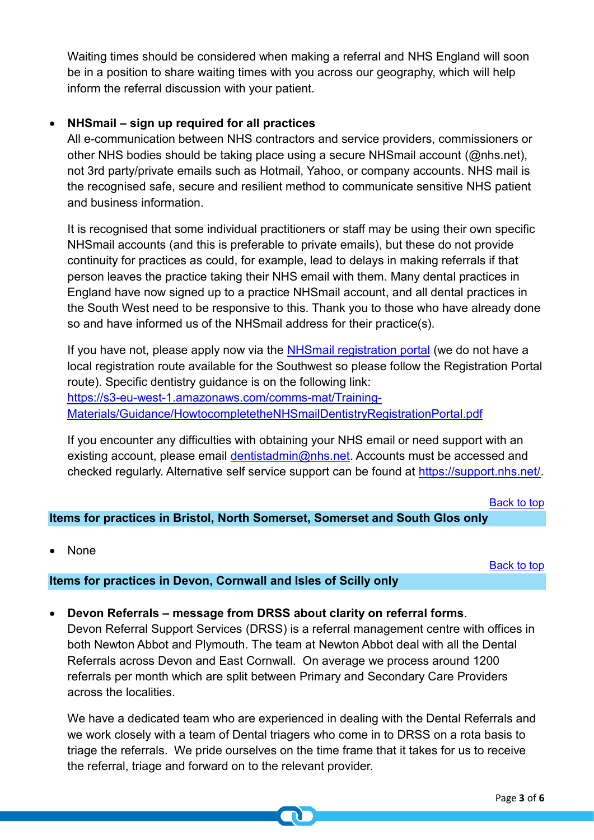Waiting times should be considered when making a referral and NHS England will soon be in a position to share waiting times with you across our geography, which will help inform the referral discussion with your patient.

## • **NHSmail – sign up required for all practices**

All e-communication between NHS contractors and service providers, commissioners or other NHS bodies should be taking place using a secure NHSmail account (@nhs.net), not 3rd party/private emails such as Hotmail, Yahoo, or company accounts. NHS mail is the recognised safe, secure and resilient method to communicate sensitive NHS patient and business information.

It is recognised that some individual practitioners or staff may be using their own specific NHSmail accounts (and this is preferable to private emails), but these do not provide continuity for practices as could, for example, lead to delays in making referrals if that person leaves the practice taking their NHS email with them. Many dental practices in England have now signed up to a practice NHSmail account, and all dental practices in the South West need to be responsive to this. Thank you to those who have already done so and have informed us of the NHSmail address for their practice(s).

If you have not, please apply now via the [NHSmail registration portal](https://portal.nhs.net/Registration#/dentistry) (we do not have a local registration route available for the Southwest so please follow the Registration Portal route). Specific dentistry guidance is on the following link: [https://s3-eu-west-1.amazonaws.com/comms-mat/Training-](https://s3-eu-west-1.amazonaws.com/comms-mat/Training-Materials/Guidance/HowtocompletetheNHSmailDentistryRegistrationPortal.pdf)[Materials/Guidance/HowtocompletetheNHSmailDentistryRegistrationPortal.pdf](https://s3-eu-west-1.amazonaws.com/comms-mat/Training-Materials/Guidance/HowtocompletetheNHSmailDentistryRegistrationPortal.pdf)

If you encounter any difficulties with obtaining your NHS email or need support with an existing account, please email [dentistadmin@nhs.net.](mailto:dentistadmin@nhs.net) Accounts must be accessed and checked regularly. Alternative self service support can be found at [https://support.nhs.net/.](https://support.nhs.net/)

[Back to top](#page-0-0)

## <span id="page-2-0"></span>**Items for practices in Bristol, North Somerset, Somerset and South Glos only**

• None

[Back to top](#page-0-0)

## <span id="page-2-1"></span>**Items for practices in Devon, Cornwall and Isles of Scilly only**

• **Devon Referrals – message from DRSS about clarity on referral forms**.

Devon Referral Support Services (DRSS) is a referral management centre with offices in both Newton Abbot and Plymouth. The team at Newton Abbot deal with all the Dental Referrals across Devon and East Cornwall. On average we process around 1200 referrals per month which are split between Primary and Secondary Care Providers across the localities.

We have a dedicated team who are experienced in dealing with the Dental Referrals and we work closely with a team of Dental triagers who come in to DRSS on a rota basis to triage the referrals. We pride ourselves on the time frame that it takes for us to receive the referral, triage and forward on to the relevant provider.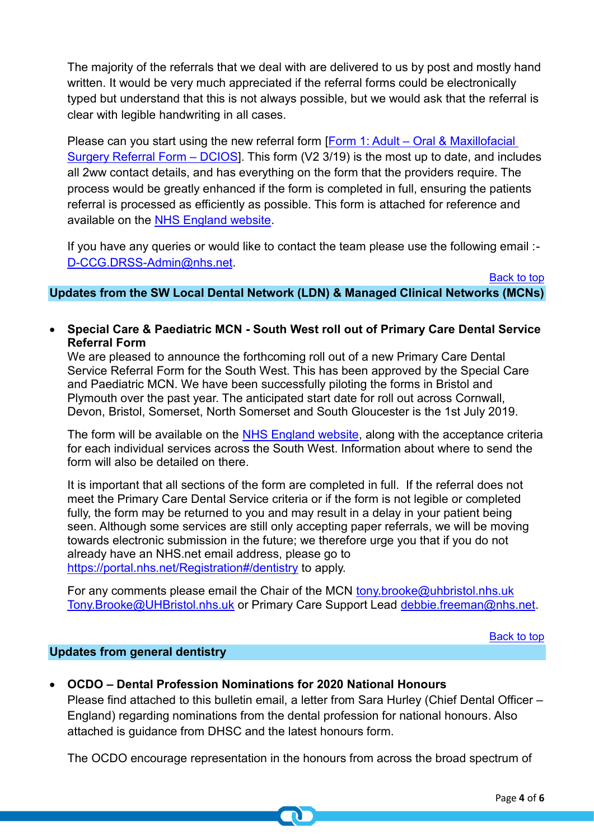The majority of the referrals that we deal with are delivered to us by post and mostly hand written. It would be very much appreciated if the referral forms could be electronically typed but understand that this is not always possible, but we would ask that the referral is clear with legible handwriting in all cases.

Please can you start using the new referral form [Form 1: Adult – Oral & Maxillofacial [Surgery Referral Form –](https://www.england.nhs.uk/south/wp-content/uploads/sites/6/2019/06/adult-oral-maxillofacial-surgery-referral-form-3-19-v2.doc) DCIOS]. This form (V2 3/19) is the most up to date, and includes all 2ww contact details, and has everything on the form that the providers require. The process would be greatly enhanced if the form is completed in full, ensuring the patients referral is processed as efficiently as possible. This form is attached for reference and available on the [NHS England website.](https://www.england.nhs.uk/south/info-professional/dental/dcis/forms/)

If you have any queries or would like to contact the team please use the following email :- [D-CCG.DRSS-Admin@nhs.net.](mailto:D-CCG.DRSS-Admin@nhs.net)

<span id="page-3-0"></span>**Updates from the SW Local Dental Network (LDN) & Managed Clinical Networks (MCNs)**

• **Special Care & Paediatric MCN - South West roll out of Primary Care Dental Service Referral Form**

We are pleased to announce the forthcoming roll out of a new Primary Care Dental Service Referral Form for the South West. This has been approved by the Special Care and Paediatric MCN. We have been successfully piloting the forms in Bristol and Plymouth over the past year. The anticipated start date for roll out across Cornwall, Devon, Bristol, Somerset, North Somerset and South Gloucester is the 1st July 2019.

The form will be available on the [NHS England website,](https://www.england.nhs.uk/south/info-professional/dental/dcis/forms/) along with the acceptance criteria for each individual services across the South West. Information about where to send the form will also be detailed on there.

It is important that all sections of the form are completed in full. If the referral does not meet the Primary Care Dental Service criteria or if the form is not legible or completed fully, the form may be returned to you and may result in a delay in your patient being seen. Although some services are still only accepting paper referrals, we will be moving towards electronic submission in the future; we therefore urge you that if you do not already have an NHS.net email address, please go to <https://portal.nhs.net/Registration#/dentistry> to apply.

For any comments please email the Chair of the MCN [tony.brooke@uhbristol.nhs.uk](mailto:tony.brooke@uhbristol.nhs.uk) [Tony.Brooke@UHBristol.nhs.uk](mailto:Tony.Brooke@UHBristol.nhs.uk) or Primary Care Support Lead [debbie.freeman@nhs.net.](mailto:debbie.freeman@nhs.net)

[Back to top](#page-0-0)

[Back to top](#page-0-0)

## <span id="page-3-1"></span>**Updates from general dentistry**

• **OCDO – Dental Profession Nominations for 2020 National Honours**

Please find attached to this bulletin email, a letter from Sara Hurley (Chief Dental Officer – England) regarding nominations from the dental profession for national honours. Also attached is guidance from DHSC and the latest honours form.

The OCDO encourage representation in the honours from across the broad spectrum of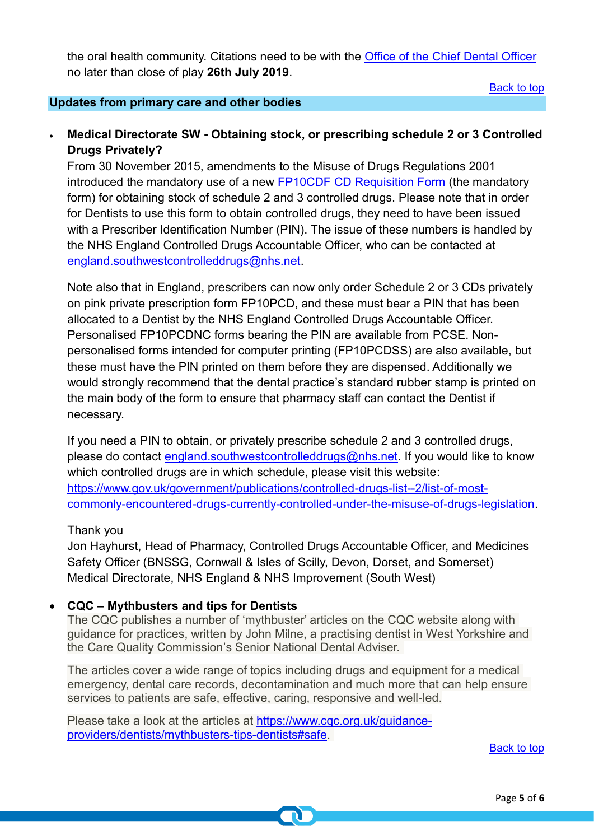the oral health community. Citations need to be with the [Office of the Chief Dental Officer](mailto:england.cdoexecutive@nhs.net) no later than close of play **26th July 2019**.

[Back to top](#page-0-0)

### <span id="page-4-0"></span>**Updates from primary care and other bodies**

## • **Medical Directorate SW - Obtaining stock, or prescribing schedule 2 or 3 Controlled Drugs Privately?**

From 30 November 2015, amendments to the Misuse of Drugs Regulations 2001 introduced the mandatory use of a new [FP10CDF CD Requisition Form](https://www.nhsbsa.nhs.uk/sites/default/files/2017-03/6-1387-Form_FP10CDF_v5_final.pdf) (the mandatory form) for obtaining stock of schedule 2 and 3 controlled drugs. Please note that in order for Dentists to use this form to obtain controlled drugs, they need to have been issued with a Prescriber Identification Number (PIN). The issue of these numbers is handled by the NHS England Controlled Drugs Accountable Officer, who can be contacted at [england.southwestcontrolleddrugs@nhs.net.](mailto:england.southwestcontrolleddrugs@nhs.net)

Note also that in England, prescribers can now only order Schedule 2 or 3 CDs privately on pink private prescription form FP10PCD, and these must bear a PIN that has been allocated to a Dentist by the NHS England Controlled Drugs Accountable Officer. Personalised FP10PCDNC forms bearing the PIN are available from PCSE. Nonpersonalised forms intended for computer printing (FP10PCDSS) are also available, but these must have the PIN printed on them before they are dispensed. Additionally we would strongly recommend that the dental practice's standard rubber stamp is printed on the main body of the form to ensure that pharmacy staff can contact the Dentist if necessary.

If you need a PIN to obtain, or privately prescribe schedule 2 and 3 controlled drugs, please do contact [england.southwestcontrolleddrugs@nhs.net.](mailto:england.southwestcontrolleddrugs@nhs.net) If you would like to know which controlled drugs are in which schedule, please visit this website: [https://www.gov.uk/government/publications/controlled-drugs-list--2/list-of-most](https://www.gov.uk/government/publications/controlled-drugs-list--2/list-of-most-commonly-encountered-drugs-currently-controlled-under-the-misuse-of-drugs-legislation)[commonly-encountered-drugs-currently-controlled-under-the-misuse-of-drugs-legislation.](https://www.gov.uk/government/publications/controlled-drugs-list--2/list-of-most-commonly-encountered-drugs-currently-controlled-under-the-misuse-of-drugs-legislation)

#### Thank you

Jon Hayhurst, Head of Pharmacy, Controlled Drugs Accountable Officer, and Medicines Safety Officer (BNSSG, Cornwall & Isles of Scilly, Devon, Dorset, and Somerset) Medical Directorate, NHS England & NHS Improvement (South West)

#### • **CQC – Mythbusters and tips for Dentists**

The CQC publishes a number of 'mythbuster' articles on the CQC website along with guidance for practices, written by John Milne, a practising dentist in West Yorkshire and the Care Quality Commission's Senior National Dental Adviser.

The articles cover a wide range of topics including drugs and equipment for a medical emergency, dental care records, decontamination and much more that can help ensure services to patients are safe, effective, caring, responsive and well-led.

Please take a look at the articles at [https://www.cqc.org.uk/guidance](https://www.cqc.org.uk/guidance-providers/dentists/mythbusters-tips-dentists#safe)[providers/dentists/mythbusters-tips-dentists#safe.](https://www.cqc.org.uk/guidance-providers/dentists/mythbusters-tips-dentists#safe)

[Back to top](#page-0-0)